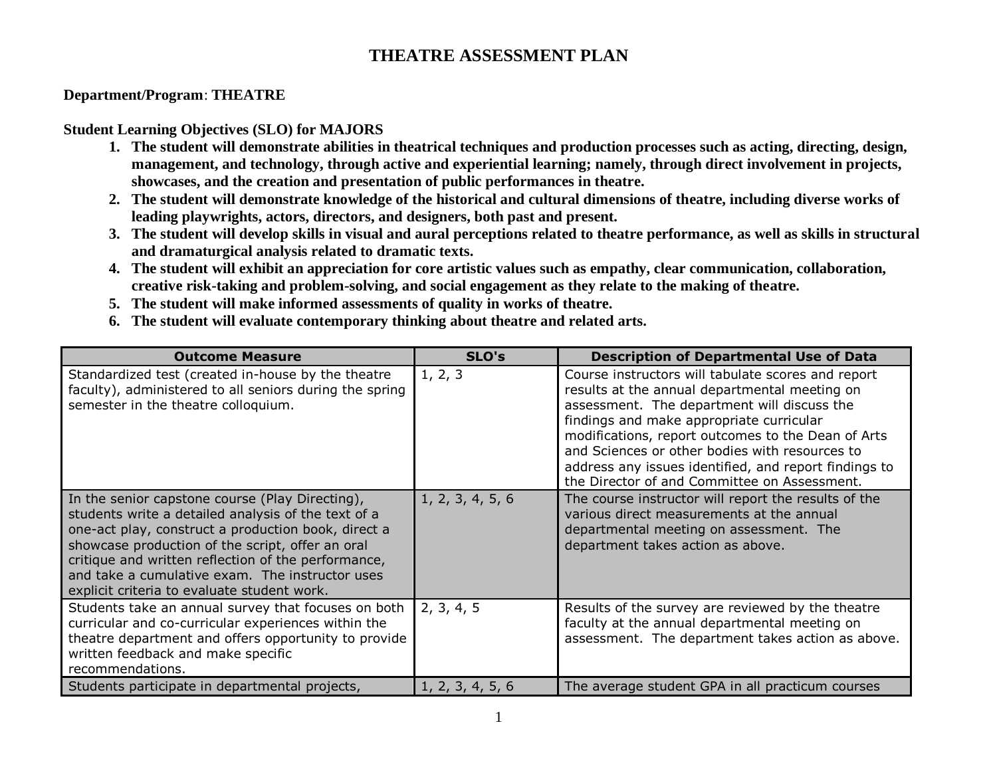## **THEATRE ASSESSMENT PLAN**

## **Department/Program**: **THEATRE**

## **Student Learning Objectives (SLO) for MAJORS**

- **1. The student will demonstrate abilities in theatrical techniques and production processes such as acting, directing, design, management, and technology, through active and experiential learning; namely, through direct involvement in projects, showcases, and the creation and presentation of public performances in theatre.**
- **2. The student will demonstrate knowledge of the historical and cultural dimensions of theatre, including diverse works of leading playwrights, actors, directors, and designers, both past and present.**
- **3. The student will develop skills in visual and aural perceptions related to theatre performance, as well as skills in structural and dramaturgical analysis related to dramatic texts.**
- **4. The student will exhibit an appreciation for core artistic values such as empathy, clear communication, collaboration, creative risk-taking and problem-solving, and social engagement as they relate to the making of theatre.**
- **5. The student will make informed assessments of quality in works of theatre.**
- **6. The student will evaluate contemporary thinking about theatre and related arts.**

| <b>Outcome Measure</b>                                                                                                                                                                                                                                                                                                                                                     | SLO's            | <b>Description of Departmental Use of Data</b>                                                                                                                                                                                                                                                                                                                                                                  |  |  |  |
|----------------------------------------------------------------------------------------------------------------------------------------------------------------------------------------------------------------------------------------------------------------------------------------------------------------------------------------------------------------------------|------------------|-----------------------------------------------------------------------------------------------------------------------------------------------------------------------------------------------------------------------------------------------------------------------------------------------------------------------------------------------------------------------------------------------------------------|--|--|--|
| Standardized test (created in-house by the theatre<br>faculty), administered to all seniors during the spring<br>semester in the theatre colloquium.                                                                                                                                                                                                                       | 1, 2, 3          | Course instructors will tabulate scores and report<br>results at the annual departmental meeting on<br>assessment. The department will discuss the<br>findings and make appropriate curricular<br>modifications, report outcomes to the Dean of Arts<br>and Sciences or other bodies with resources to<br>address any issues identified, and report findings to<br>the Director of and Committee on Assessment. |  |  |  |
| In the senior capstone course (Play Directing),<br>students write a detailed analysis of the text of a<br>one-act play, construct a production book, direct a<br>showcase production of the script, offer an oral<br>critique and written reflection of the performance,<br>and take a cumulative exam. The instructor uses<br>explicit criteria to evaluate student work. | 1, 2, 3, 4, 5, 6 | The course instructor will report the results of the<br>various direct measurements at the annual<br>departmental meeting on assessment. The<br>department takes action as above.                                                                                                                                                                                                                               |  |  |  |
| Students take an annual survey that focuses on both<br>curricular and co-curricular experiences within the<br>theatre department and offers opportunity to provide<br>written feedback and make specific<br>recommendations.                                                                                                                                               | 2, 3, 4, 5       | Results of the survey are reviewed by the theatre<br>faculty at the annual departmental meeting on<br>assessment. The department takes action as above.                                                                                                                                                                                                                                                         |  |  |  |
| Students participate in departmental projects,                                                                                                                                                                                                                                                                                                                             | 1, 2, 3, 4, 5, 6 | The average student GPA in all practicum courses                                                                                                                                                                                                                                                                                                                                                                |  |  |  |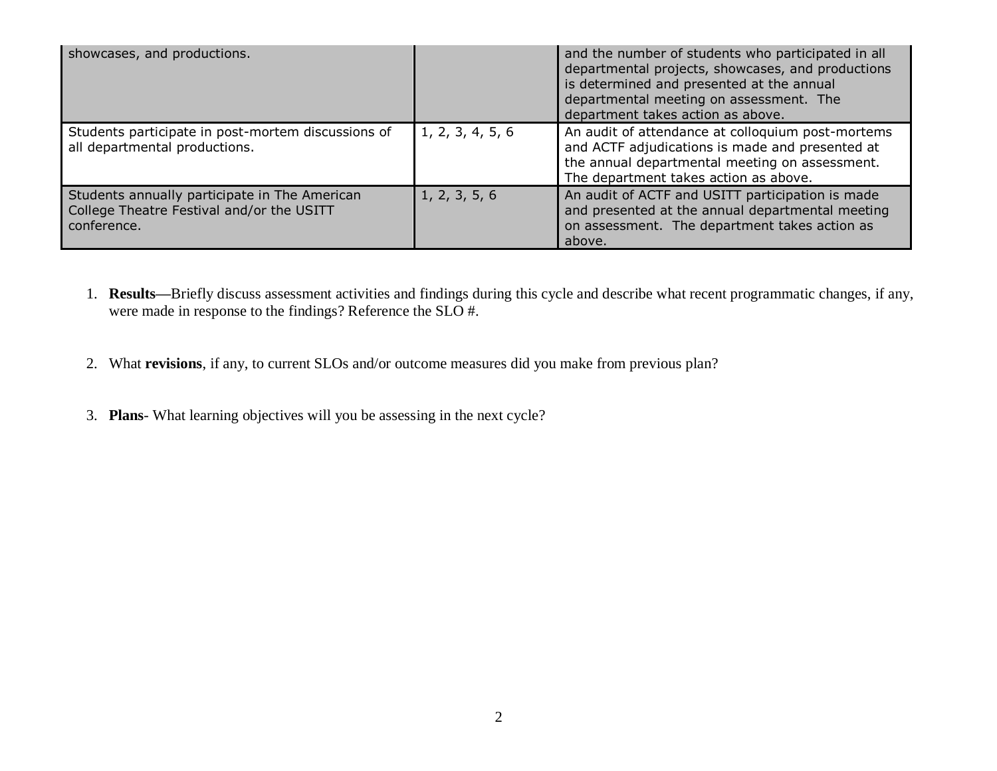| showcases, and productions.                                                                               |                  | and the number of students who participated in all<br>departmental projects, showcases, and productions<br>is determined and presented at the annual<br>departmental meeting on assessment. The<br>department takes action as above. |
|-----------------------------------------------------------------------------------------------------------|------------------|--------------------------------------------------------------------------------------------------------------------------------------------------------------------------------------------------------------------------------------|
| Students participate in post-mortem discussions of<br>all departmental productions.                       | 1, 2, 3, 4, 5, 6 | An audit of attendance at colloquium post-mortems<br>and ACTF adjudications is made and presented at<br>the annual departmental meeting on assessment.<br>The department takes action as above.                                      |
| Students annually participate in The American<br>College Theatre Festival and/or the USITT<br>conference. | 1, 2, 3, 5, 6    | An audit of ACTF and USITT participation is made<br>and presented at the annual departmental meeting<br>on assessment. The department takes action as<br>above.                                                                      |

- 1. **Results—**Briefly discuss assessment activities and findings during this cycle and describe what recent programmatic changes, if any, were made in response to the findings? Reference the SLO #.
- 2. What **revisions**, if any, to current SLOs and/or outcome measures did you make from previous plan?
- 3. **Plans** What learning objectives will you be assessing in the next cycle?